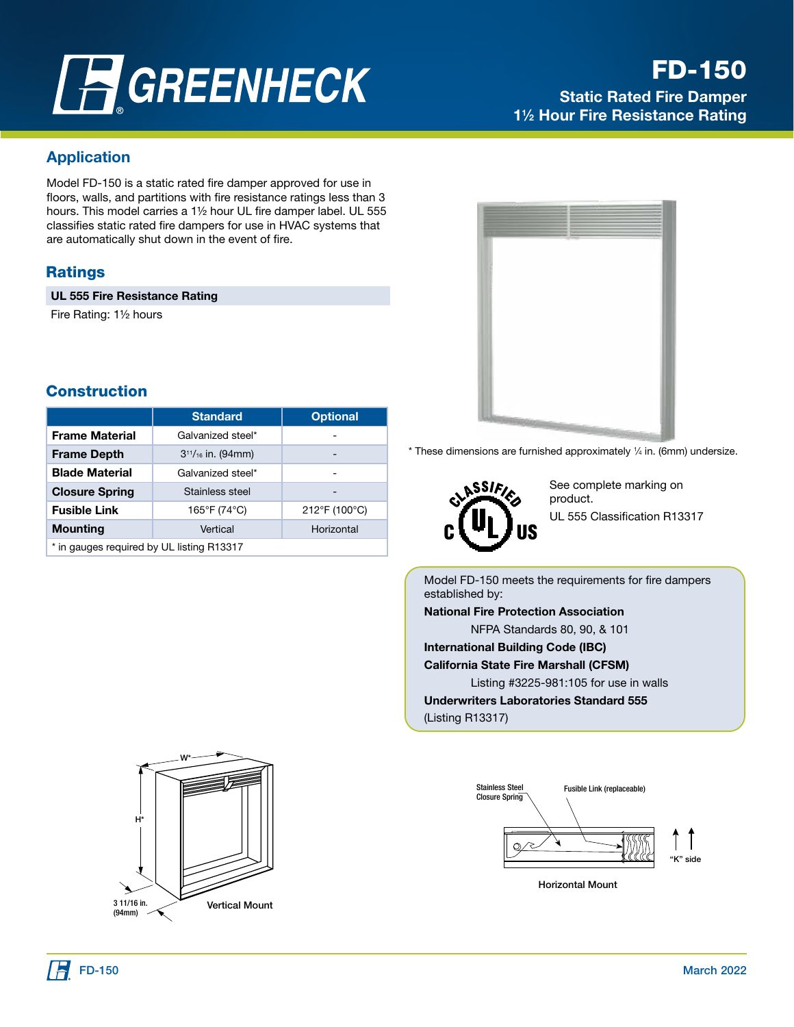# **FGREENHECK**

# FD-150

Static Rated Fire Damper 1<sup>1</sup>/<sub>2</sub> Hour Fire Resistance Rating

# Application

Model FD-150 is a static rated fire damper approved for use in floors, walls, and partitions with fire resistance ratings less than 3 hours. This model carries a 1<sup>1/2</sup> hour UL fire damper label. UL 555 classifies static rated fire dampers for use in HVAC systems that are automatically shut down in the event of fire.

#### **Ratings**

UL 555 Fire Resistance Rating

Fire Rating: 11/2 hours

#### **Construction**

|                                           | <b>Standard</b>           | <b>Optional</b> |  |  |  |
|-------------------------------------------|---------------------------|-----------------|--|--|--|
| <b>Frame Material</b>                     | Galvanized steel*         |                 |  |  |  |
| <b>Frame Depth</b>                        | $3^{11}/_{16}$ in. (94mm) | -               |  |  |  |
| <b>Blade Material</b>                     | Galvanized steel*         | -               |  |  |  |
| <b>Closure Spring</b>                     | Stainless steel           | -               |  |  |  |
| <b>Fusible Link</b>                       | 165°F (74°C)              | 212°F (100°C)   |  |  |  |
| <b>Mounting</b>                           | Vertical                  | Horizontal      |  |  |  |
| * in gauges required by UL listing R13317 |                           |                 |  |  |  |



 $*$  These dimensions are furnished approximately  $\frac{1}{4}$  in. (6mm) undersize.



See complete marking on product. UL 555 Classification R13317

Model FD-150 meets the requirements for fire dampers established by: National Fire Protection Association NFPA Standards 80, 90, & 101 International Building Code (IBC) California State Fire Marshall (CFSM) Listing #3225-981:105 for use in walls Underwriters Laboratories Standard 555 (Listing R13317)



Horizontal Mount

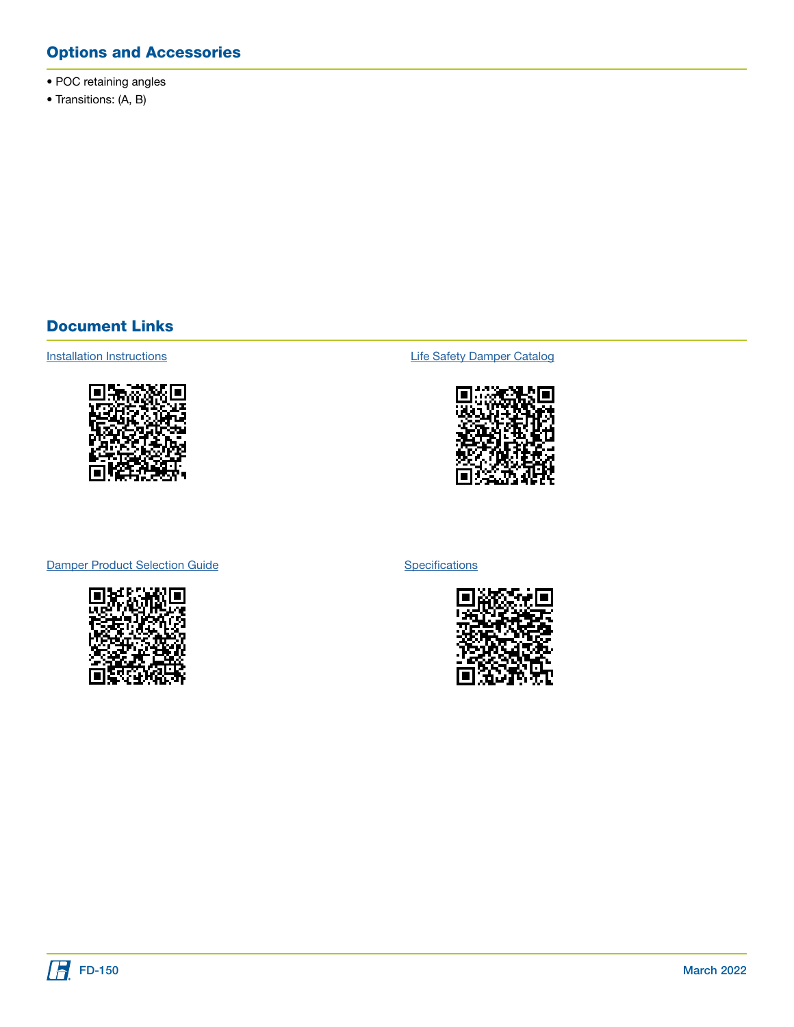# Options and Accessories

- POC retaining angles
- Transitions: (A, B)

#### Document Links



[Installation Instructions](https://content.greenheck.com/public/DAMProd/Original/10001/481324CurtainFireDampers_iom.pdf) **Installation Instructions [Life Safety Damper Catalog](https://content.greenheck.com/public/DAMProd/Original/10015/LifeSafetyDampers_catalog.pdf)** 



[Damper Product Selection Guide](https://content.greenheck.com/public/DAMProd/Original/10002/InteractiveDamperSelectionGuide.pdf)



**[Specifications](https://content.greenheck.com/public/DAMProd/Original/10002/FDSeries_spec.rtf)** 

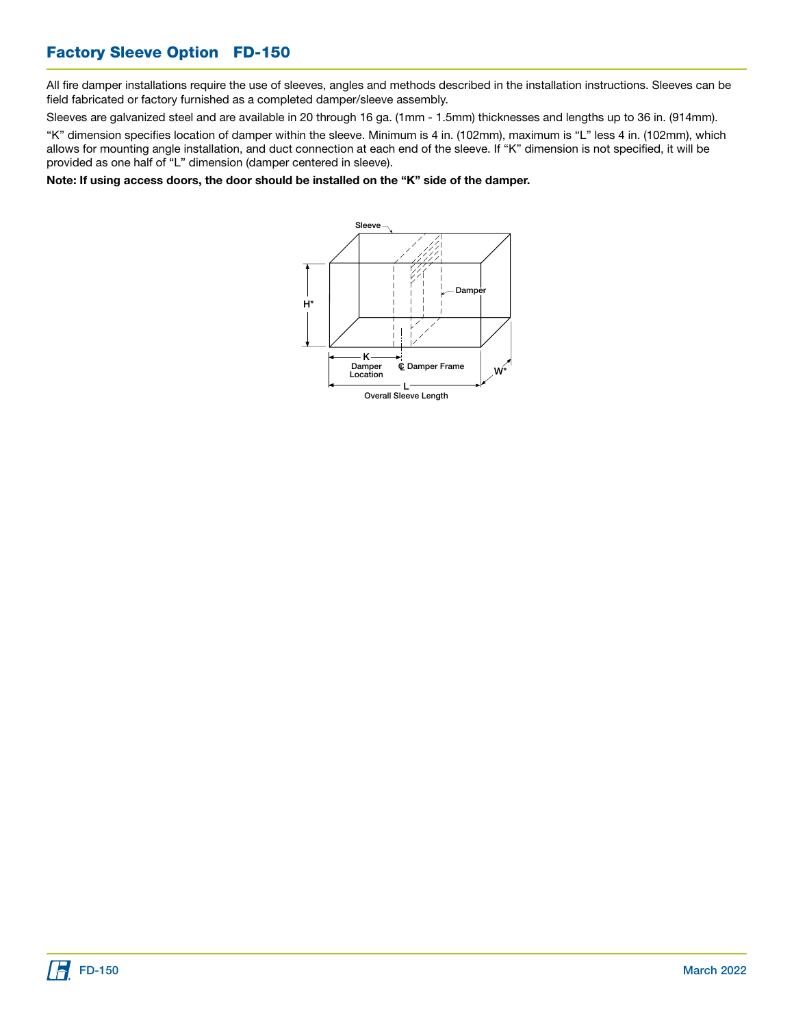# Factory Sleeve Option FD-150

All fire damper installations require the use of sleeves, angles and methods described in the installation instructions. Sleeves can be field fabricated or factory furnished as a completed damper/sleeve assembly.

Sleeves are galvanized steel and are available in 20 through 16 ga. (1mm - 1.5mm) thicknesses and lengths up to 36 in. (914mm).

"K" dimension specifies location of damper within the sleeve. Minimum is 4 in. (102mm), maximum is "L" less 4 in. (102mm), which allows for mounting angle installation, and duct connection at each end of the sleeve. If "K" dimension is not specified, it will be provided as one half of "L" dimension (damper centered in sleeve).

Note: If using access doors, the door should be installed on the "K" side of the damper.

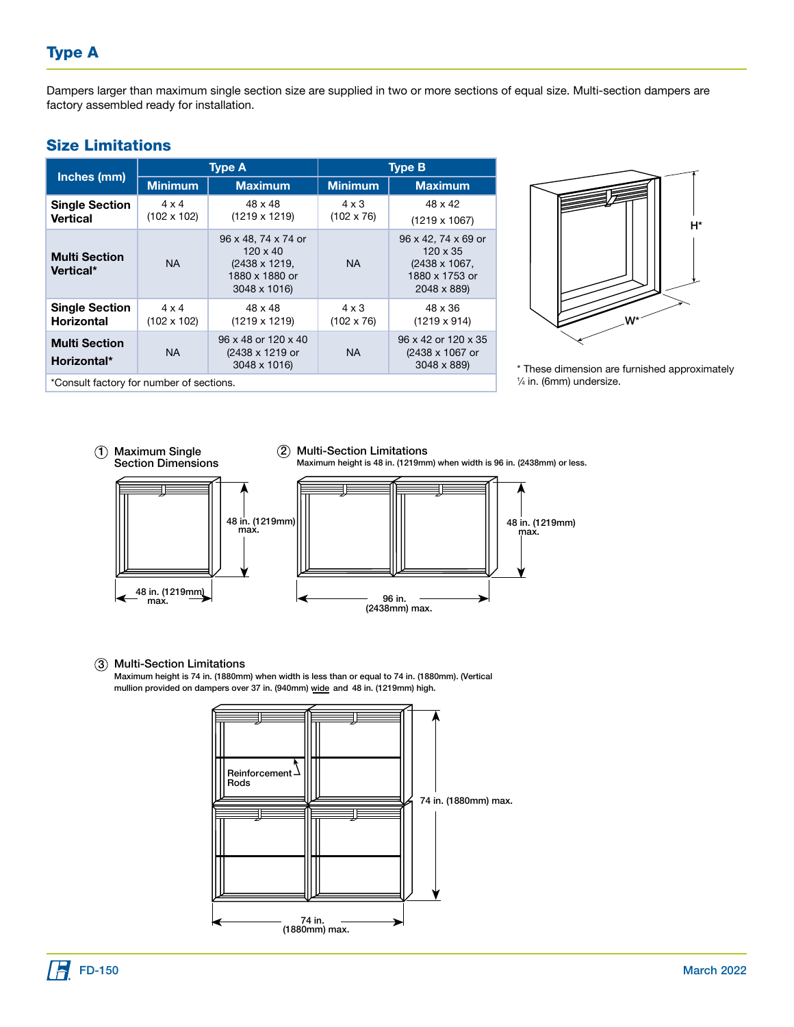Dampers larger than maximum single section size are supplied in two or more sections of equal size. Multi-section dampers are factory assembled ready for installation.

#### Size Limitations

| Inches (mm)                                | <b>Type A</b>                      |                                                                                           | <b>Type B</b>                     |                                                                                          |  |
|--------------------------------------------|------------------------------------|-------------------------------------------------------------------------------------------|-----------------------------------|------------------------------------------------------------------------------------------|--|
|                                            | <b>Minimum</b>                     | <b>Maximum</b>                                                                            | <b>Minimum</b>                    | <b>Maximum</b>                                                                           |  |
| <b>Single Section</b><br>Vertical          | $4 \times 4$<br>$(102 \times 102)$ | 48 x 48<br>$(1219 \times 1219)$                                                           | $4 \times 3$<br>$(102 \times 76)$ | 48 x 42<br>$(1219 \times 1067)$                                                          |  |
| <b>Multi Section</b><br>Vertical*          | <b>NA</b>                          | 96 x 48, 74 x 74 or<br>$120 \times 40$<br>(2438 x 1219,<br>1880 x 1880 or<br>3048 x 1016) | <b>NA</b>                         | 96 x 42, 74 x 69 or<br>$120 \times 35$<br>(2438 x 1067,<br>1880 x 1753 or<br>2048 x 889) |  |
| <b>Single Section</b><br><b>Horizontal</b> | $4 \times 4$<br>$(102 \times 102)$ | 48 x 48<br>$(1219 \times 1219)$                                                           | $4 \times 3$<br>$(102 \times 76)$ | 48 x 36<br>$(1219 \times 914)$                                                           |  |
| <b>Multi Section</b><br>Horizontal*        | <b>NA</b>                          | 96 x 48 or 120 x 40<br>(2438 x 1219 or<br>3048 x 1016)                                    | NA.                               | 96 x 42 or 120 x 35<br>(2438 x 1067 or<br>3048 x 889)                                    |  |
| *Consult factory for number of sections.   |                                    |                                                                                           |                                   |                                                                                          |  |



\* These dimension are furnished approximately 1 ⁄4 in. (6mm) undersize.





48 in. (1219mm)<br>max.

Multi-Section Limitations 3 Maximum height is 74 in. (1880mm) when width is less than or equal to 74 in. (1880mm). (Vertical mullion provided on dampers over 37 in. (940mm) wide and 48 in. (1219mm) high.



96 in.

(2438mm) max.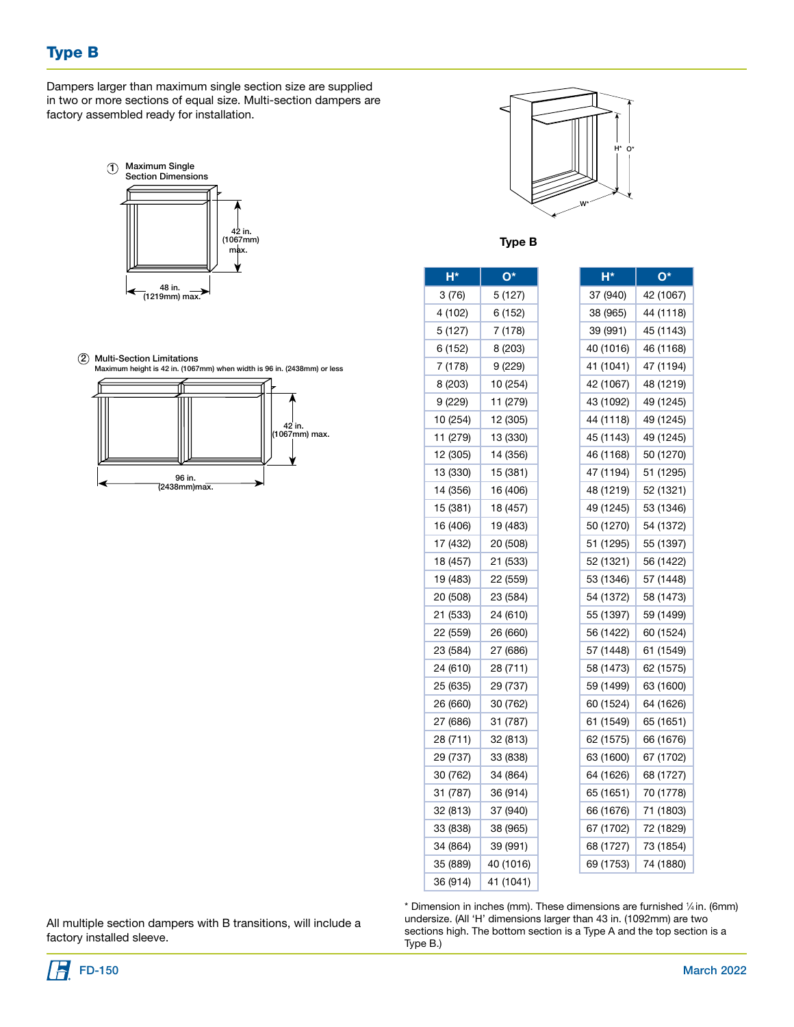# Type B

Dampers larger than maximum single section size are supplied in two or more sections of equal size. Multi-section dampers are factory assembled ready for installation.



2 Multi-Section Limitations





 $O^*$ 42 (1067) 44 (1118) 45 (1143) 46 (1168) 47 (1194) 48 (1219) 49 (1245) 49 (1245) 49 (1245) 50 (1270) 51 (1295) 52 (1321) 49 (1245) 53 (1346) 50 (1270) 54 (1372) 55 (1397) 56 (1422) 53 (1346) 57 (1448) 54 (1372) 58 (1473) 55 (1397) 59 (1499) 60 (1524) 61 (1549) 62 (1575) 63 (1600) 64 (1626) 65 (1651) 62 (1575) 66 (1676) 67 (1702) 68 (1727) 70 (1778) 66 (1676) 71 (1803) 72 (1829) 73 (1854) 69 (1753) 74 (1880)

Type **B** 

| H*       | $O^*$     | H*        |
|----------|-----------|-----------|
| 3 (76)   | 5 (127)   | 37 (940)  |
| 4 (102)  | 6 (152)   | 38 (965)  |
| 5 (127)  | 7 (178)   | 39 (991)  |
| 6 (152)  | 8 (203)   | 40 (1016) |
| 7 (178)  | 9 (229)   | 41 (1041) |
| 8 (203)  | 10 (254)  | 42 (1067) |
| 9 (229)  | 11 (279)  | 43 (1092) |
| 10 (254) | 12 (305)  | 44 (1118) |
| 11 (279) | 13 (330)  | 45 (1143) |
| 12 (305) | 14 (356)  | 46 (1168) |
| 13 (330) | 15 (381)  | 47 (1194) |
| 14 (356) | 16 (406)  | 48 (1219) |
| 15 (381) | 18 (457)  | 49 (1245) |
| 16 (406) | 19 (483)  | 50 (1270) |
| 17 (432) | 20 (508)  | 51 (1295) |
| 18 (457) | 21 (533)  | 52 (1321) |
| 19 (483) | 22 (559)  | 53 (1346) |
| 20 (508) | 23 (584)  | 54 (1372) |
| 21 (533) | 24 (610)  | 55 (1397) |
| 22 (559) | 26 (660)  | 56 (1422) |
| 23 (584) | 27 (686)  | 57 (1448) |
| 24 (610) | 28 (711)  | 58 (1473) |
| 25 (635) | 29 (737)  | 59 (1499) |
| 26 (660) | 30 (762)  | 60 (1524) |
| 27 (686) | 31 (787)  | 61 (1549) |
| 28 (711) | 32 (813)  | 62 (1575) |
| 29 (737) | 33 (838)  | 63 (1600) |
| 30 (762) | 34 (864)  | 64 (1626) |
| 31 (787) | 36 (914)  | 65 (1651) |
| 32 (813) | 37 (940)  | 66 (1676) |
| 33 (838) | 38 (965)  | 67 (1702) |
| 34 (864) | 39 (991)  | 68 (1727) |
| 35 (889) | 40 (1016) | 69 (1753) |
| 36 (914) | 41 (1041) |           |
|          |           |           |

All multiple section dampers with B transitions, will include a factory installed sleeve.

\* Dimension in inches (mm). These dimensions are furnished 1 ⁄4 in. (6mm) undersize. (All 'H' dimensions larger than 43 in. (1092mm) are two sections high. The bottom section is a Type A and the top section is a Type B.)